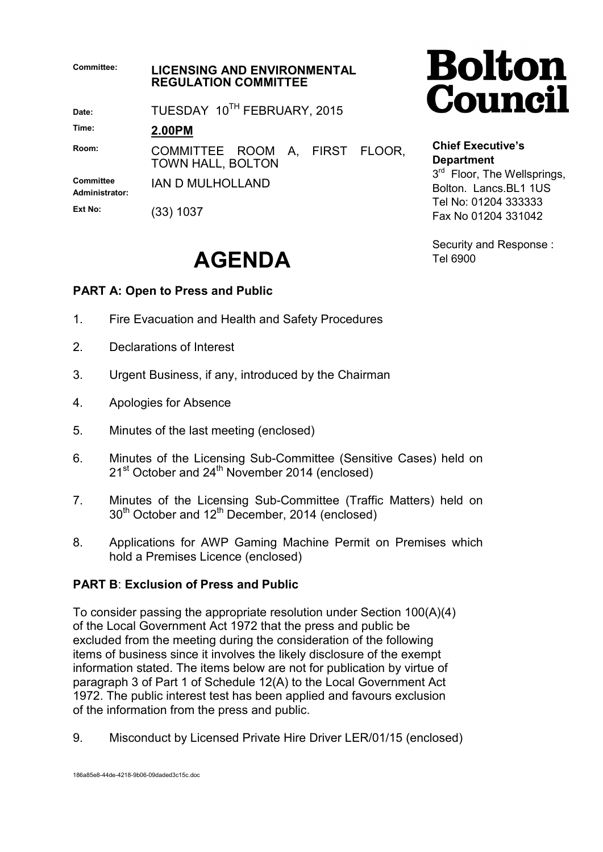| Committee:                                | <b>LICENSING AND ENVIRONMENTAL</b><br><b>REGULATION COMMITTEE</b> | <b>Bolton</b>                                                                                                                                                    |
|-------------------------------------------|-------------------------------------------------------------------|------------------------------------------------------------------------------------------------------------------------------------------------------------------|
| Date:                                     | TUESDAY 10TH FEBRUARY, 2015                                       | <b>Council</b>                                                                                                                                                   |
| Time:                                     | <b>2.00PM</b>                                                     |                                                                                                                                                                  |
| Room:                                     | COMMITTEE ROOM A, FIRST<br>FLOOR.<br>TOWN HALL, BOLTON            | <b>Chief Executive's</b><br><b>Department</b><br>3 <sup>rd</sup> Floor, The Wellsprings,<br>Bolton. Lancs.BL1 1US<br>Tel No: 01204 333333<br>Fax No 01204 331042 |
| <b>Committee</b><br><b>Administrator:</b> | <b>IAN D MULHOLLAND</b>                                           |                                                                                                                                                                  |
| Ext No:                                   | (33) 1037                                                         |                                                                                                                                                                  |

## **AGENDA**

## **PART A: Open to Press and Public**

- 1. Fire Evacuation and Health and Safety Procedures
- 2. Declarations of Interest
- 3. Urgent Business, if any, introduced by the Chairman
- 4. Apologies for Absence
- 5. Minutes of the last meeting (enclosed)
- 6. Minutes of the Licensing Sub-Committee (Sensitive Cases) held on 21<sup>st</sup> October and 24<sup>th</sup> November 2014 (enclosed)
- 7. Minutes of the Licensing Sub-Committee (Traffic Matters) held on 30<sup>th</sup> October and 12<sup>th</sup> December, 2014 (enclosed)
- 8. Applications for AWP Gaming Machine Permit on Premises which hold a Premises Licence (enclosed)

## **PART B**: **Exclusion of Press and Public**

To consider passing the appropriate resolution under Section 100(A)(4) of the Local Government Act 1972 that the press and public be excluded from the meeting during the consideration of the following items of business since it involves the likely disclosure of the exempt information stated. The items below are not for publication by virtue of paragraph 3 of Part 1 of Schedule 12(A) to the Local Government Act 1972. The public interest test has been applied and favours exclusion of the information from the press and public.

9. Misconduct by Licensed Private Hire Driver LER/01/15 (enclosed)



Fax No 01204 331042

Security and Response : Tel 6900